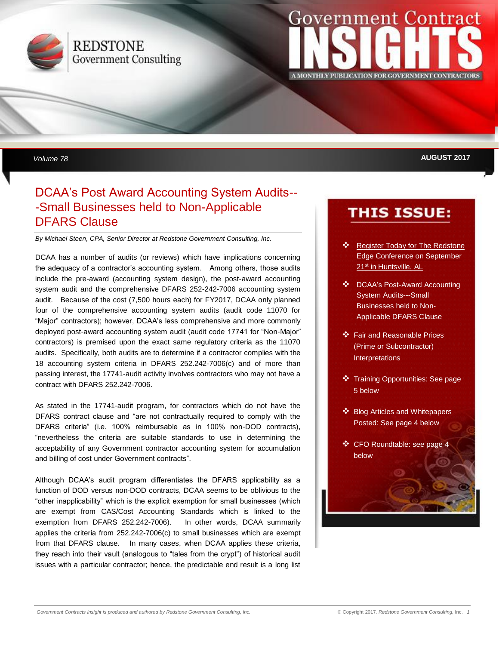

## **REDSTONE Government Consulting**

# **Government** INSIGHTS **A MONTHLY PUBLICATION FOR GOVERNMENT CONTRACTORS**

*Volume 78* **AUGUST 2017**

## DCAA's Post Award Accounting System Audits-- -Small Businesses held to Non-Applicable DFARS Clause

*By Michael Steen, CPA, Senior Director at Redstone Government Consulting, Inc.*

DCAA has a number of audits (or reviews) which have implications concerning the adequacy of a contractor's accounting system. Among others, those audits include the pre-award (accounting system design), the post-award accounting system audit and the comprehensive DFARS 252-242-7006 accounting system audit. Because of the cost (7,500 hours each) for FY2017, DCAA only planned four of the comprehensive accounting system audits (audit code 11070 for "Major" contractors); however, DCAA's less comprehensive and more commonly deployed post-award accounting system audit (audit code 17741 for "Non-Major" contractors) is premised upon the exact same regulatory criteria as the 11070 audits. Specifically, both audits are to determine if a contractor complies with the 18 accounting system criteria in DFARS 252.242-7006(c) and of more than passing interest, the 17741-audit activity involves contractors who may not have a contract with DFARS 252.242-7006.

As stated in the 17741-audit program, for contractors which do not have the DFARS contract clause and "are not contractually required to comply with the DFARS criteria" (i.e. 100% reimbursable as in 100% non-DOD contracts), "nevertheless the criteria are suitable standards to use in determining the acceptability of any Government contractor accounting system for accumulation and billing of cost under Government contracts".

Although DCAA's audit program differentiates the DFARS applicability as a function of DOD versus non-DOD contracts, DCAA seems to be oblivious to the "other inapplicability" which is the explicit exemption for small businesses (which are exempt from CAS/Cost Accounting Standards which is linked to the exemption from DFARS 252.242-7006). In other words, DCAA summarily applies the criteria from 252.242-7006(c) to small businesses which are exempt from that DFARS clause. In many cases, when DCAA applies these criteria, they reach into their vault (analogous to "tales from the crypt") of historical audit issues with a particular contractor; hence, the predictable end result is a long list

## **THIS ISSUE:**

- ❖ Register Today for The Redstone Edge Conference on September 21<sup>st</sup> [in Huntsville, AL](https://www.redstonegci.com/events/the-redstone-edge-2017/)
- ❖ DCAA's Post-Award Accounting **System Audits---Small Businesses held to Non-**Applicable DFARS Clause
- ❖ Fair and Reasonable Prices ❖ Announcing The Redstone Edge Interpretations (Prime or Subcontractor)
- ❖ Training Opportunities: See page 5 below
- ❖ Blog Articles and Whitepapers Posted: See page 4 below
- ❖ CFO Roundtable: see page 4 below

❖ CFO Roundtable: see page 7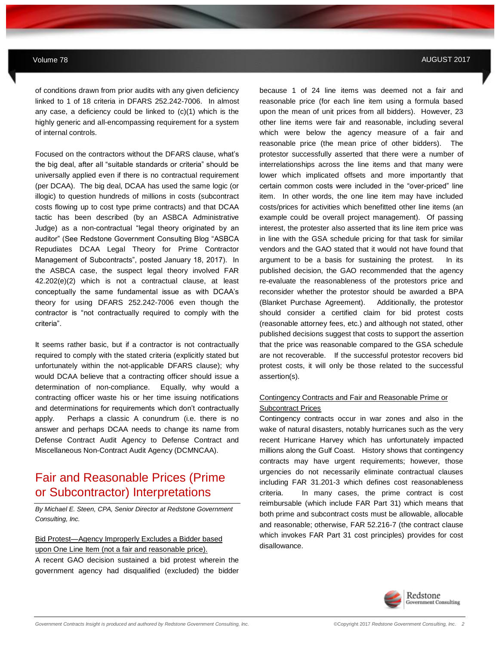of conditions drawn from prior audits with any given deficiency linked to 1 of 18 criteria in DFARS 252.242-7006. In almost any case, a deficiency could be linked to (c)(1) which is the highly generic and all-encompassing requirement for a system of internal controls.

Focused on the contractors without the DFARS clause, what's the big deal, after all "suitable standards or criteria" should be universally applied even if there is no contractual requirement (per DCAA). The big deal, DCAA has used the same logic (or illogic) to question hundreds of millions in costs (subcontract costs flowing up to cost type prime contracts) and that DCAA tactic has been described (by an ASBCA Administrative Judge) as a non-contractual "legal theory originated by an auditor" (See Redstone Government Consulting Blog "ASBCA Repudiates DCAA Legal Theory for Prime Contractor Management of Subcontracts", posted January 18, 2017). In the ASBCA case, the suspect legal theory involved FAR 42.202(e)(2) which is not a contractual clause, at least conceptually the same fundamental issue as with DCAA's theory for using DFARS 252.242-7006 even though the contractor is "not contractually required to comply with the criteria".

It seems rather basic, but if a contractor is not contractually required to comply with the stated criteria (explicitly stated but unfortunately within the not-applicable DFARS clause); why would DCAA believe that a contracting officer should issue a determination of non-compliance. Equally, why would a contracting officer waste his or her time issuing notifications and determinations for requirements which don't contractually apply. Perhaps a classic A conundrum (i.e. there is no answer and perhaps DCAA needs to change its name from Defense Contract Audit Agency to Defense Contract and Miscellaneous Non-Contract Audit Agency (DCMNCAA).

## Fair and Reasonable Prices (Prime or Subcontractor) Interpretations

*By Michael E. Steen, CPA, Senior Director at Redstone Government Consulting, Inc.*

### Bid Protest—Agency Improperly Excludes a Bidder based upon One Line Item (not a fair and reasonable price).

A recent GAO decision sustained a bid protest wherein the government agency had disqualified (excluded) the bidder

#### Volume 78 AUGUST 2017

because 1 of 24 line items was deemed not a fair and reasonable price (for each line item using a formula based upon the mean of unit prices from all bidders). However, 23 other line items were fair and reasonable, including several which were below the agency measure of a fair and reasonable price (the mean price of other bidders). The protestor successfully asserted that there were a number of interrelationships across the line items and that many were lower which implicated offsets and more importantly that certain common costs were included in the "over-priced" line item. In other words, the one line item may have included costs/prices for activities which benefitted other line items (an example could be overall project management). Of passing interest, the protester also asserted that its line item price was in line with the GSA schedule pricing for that task for similar vendors and the GAO stated that it would not have found that argument to be a basis for sustaining the protest. In its published decision, the GAO recommended that the agency re-evaluate the reasonableness of the protestors price and reconsider whether the protestor should be awarded a BPA (Blanket Purchase Agreement). Additionally, the protestor should consider a certified claim for bid protest costs (reasonable attorney fees, etc.) and although not stated, other published decisions suggest that costs to support the assertion that the price was reasonable compared to the GSA schedule are not recoverable. If the successful protestor recovers bid protest costs, it will only be those related to the successful assertion(s).

### Contingency Contracts and Fair and Reasonable Prime or Subcontract Prices

Contingency contracts occur in war zones and also in the wake of natural disasters, notably hurricanes such as the very recent Hurricane Harvey which has unfortunately impacted millions along the Gulf Coast. History shows that contingency contracts may have urgent requirements; however, those urgencies do not necessarily eliminate contractual clauses including FAR 31.201-3 which defines cost reasonableness criteria. In many cases, the prime contract is cost reimbursable (which include FAR Part 31) which means that both prime and subcontract costs must be allowable, allocable and reasonable; otherwise, FAR 52.216-7 (the contract clause which invokes FAR Part 31 cost principles) provides for cost disallowance.

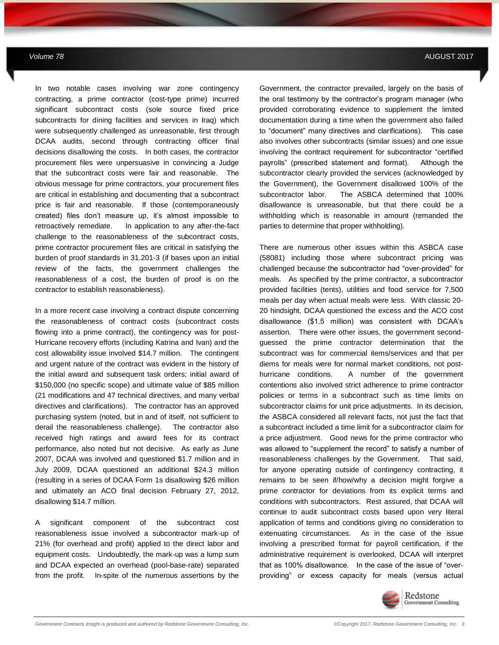In two notable cases involving war zone contingency contracting, a prime contractor (cost-type prime) incurred significant subcontract costs (sole source fixed price subcontracts for dining facilities and services in Iraq) which were subsequently challenged as unreasonable, first through DCAA audits, second through contracting officer final decisions disallowing the costs. In both cases, the contractor procurement files were unpersuasive in convincing a Judge that the subcontract costs were fair and reasonable. The obvious message for prime contractors, your procurement files are critical in establishing and documenting that a subcontract price is fair and reasonable. If those (contemporaneously created) files don't measure up, it's almost impossible to retroactively remediate. In application to any after-the-fact challenge to the reasonableness of the subcontract costs, prime contractor procurement files are critical in satisfying the burden of proof standards in 31.201-3 (if bases upon an initial review of the facts, the government challenges the reasonableness of a cost, the burden of proof is on the contractor to establish reasonableness).

**MAY 2012** *Government Contracts Insights Newsletter*

In a more recent case involving a contract dispute concerning the reasonableness of contract costs (subcontract costs flowing into a prime contract), the contingency was for post-Hurricane recovery efforts (including Katrina and Ivan) and the cost allowability issue involved \$14.7 million. The contingent and urgent nature of the contract was evident in the history of the initial award and subsequent task orders; initial award of \$150,000 (no specific scope) and ultimate value of \$85 million (21 modifications and 47 technical directives, and many verbal directives and clarifications). The contractor has an approved purchasing system (noted, but in and of itself, not sufficient to derail the reasonableness challenge). The contractor also received high ratings and award fees for its contract performance, also noted but not decisive. As early as June 2007, DCAA was involved and questioned \$1.7 million and in July 2009, DCAA questioned an additional \$24.3 million (resulting in a series of DCAA Form 1s disallowing \$26 million and ultimately an ACO final decision February 27, 2012, disallowing \$14.7 million.

A significant component of the subcontract cost reasonableness issue involved a subcontractor mark-up of 21% (for overhead and profit) applied to the direct labor and equipment costs. Undoubtedly, the mark-up was a lump sum and DCAA expected an overhead (pool-base-rate) separated from the profit. In-spite of the numerous assertions by the

Government, the contractor prevailed, largely on the basis of the oral testimony by the contractor's program manager (who provided corroborating evidence to supplement the limited documentation during a time when the government also failed to "document" many directives and clarifications). This case also involves other subcontracts (similar issues) and one issue involving the contract requirement for subcontractor "certified payrolls" (prescribed statement and format). Although the subcontractor clearly provided the services (acknowledged by the Government), the Government disallowed 100% of the subcontractor labor. The ASBCA determined that 100% disallowance is unreasonable, but that there could be a withholding which is reasonable in amount (remanded the parties to determine that proper withholding).

There are numerous other issues within this ASBCA case (58081) including those where subcontract pricing was challenged because the subcontractor had "over-provided" for meals. As specified by the prime contractor, a subcontractor provided facilities (tents), utilities and food service for 7,500 meals per day when actual meals were less. With classic 20- 20 hindsight, DCAA questioned the excess and the ACO cost disallowance (\$1.5 million) was consistent with DCAA's assertion. There were other issues, the government secondguessed the prime contractor determination that the subcontract was for commercial items/services and that per diems for meals were for normal market conditions, not posthurricane conditions. A number of the government contentions also involved strict adherence to prime contractor policies or terms in a subcontract such as time limits on subcontractor claims for unit price adjustments. In its decision, the ASBCA considered all relevant facts, not just the fact that a subcontract included a time limit for a subcontractor claim for a price adjustment. Good news for the prime contractor who was allowed to "supplement the record" to satisfy a number of reasonableness challenges by the Government. That said, for anyone operating outside of contingency contracting, it remains to be seen if/how/why a decision might forgive a prime contractor for deviations from its explicit terms and conditions with subcontractors. Rest assured, that DCAA will continue to audit subcontract costs based upon very literal application of terms and conditions giving no consideration to extenuating circumstances. As in the case of the issue involving a prescribed format for payroll certification, if the administrative requirement is overlooked, DCAA will interpret that as 100% disallowance. In the case of the issue of "overproviding" or excess capacity for meals (versus actual

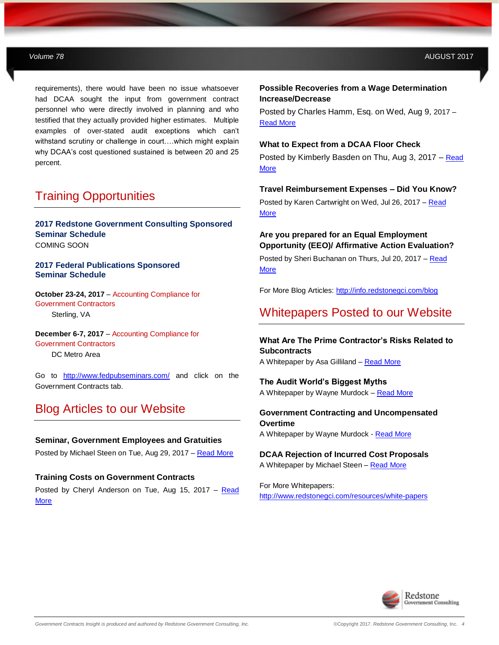requirements), there would have been no issue whatsoever had DCAA sought the input from government contract personnel who were directly involved in planning and who testified that they actually provided higher estimates. Multiple examples of over-stated audit exceptions which can't withstand scrutiny or challenge in court….which might explain why DCAA's cost questioned sustained is between 20 and 25 percent.

**MAY 2012** *Government Contracts Insights Newsletter*

## Training Opportunities

**2017 Redstone Government Consulting Sponsored Seminar Schedule**  COMING SOON

**2017 Federal Publications Sponsored Seminar Schedule**

**October 23-24, 2017** – Accounting Compliance for Government Contractors Sterling, VA

**December 6-7, 2017** – Accounting Compliance for Government Contractors DC Metro Area

Go to <http://www.fedpubseminars.com/> and click on the Government Contracts tab.

## Blog Articles to our Website

**Seminar, Government Employees and Gratuities** Posted by Michael Steen on Tue, Aug 29, 2017 - [Read More](http://info.redstonegci.com/blog/seminar-government-employees-and-gratuities)

**Training Costs on Government Contracts** Posted by Cheryl Anderson on Tue, Aug 15, 2017 – [Read](http://info.redstonegci.com/blog/training-costs-on-government-contracts)  **[More](http://info.redstonegci.com/blog/training-costs-on-government-contracts)** 

#### **Possible Recoveries from a Wage Determination Increase/Decrease**

Posted by Charles Hamm, Esq. on Wed, Aug 9, 2017 – [Read More](http://info.redstonegci.com/blog/possible-recoveries-from-a-wd-wage-determination-increase/decrease)

#### **What to Expect from a DCAA Floor Check**

Posted by Kimberly Basden on Thu, Aug 3, 2017 – [Read](http://info.redstonegci.com/blog/what-to-expect-from-a-dcaa-floor-check)  **[More](http://info.redstonegci.com/blog/what-to-expect-from-a-dcaa-floor-check)** 

#### **Travel Reimbursement Expenses – Did You Know?**

Posted by Karen Cartwright on Wed, Jul 26, 2017 – [Read](http://info.redstonegci.com/blog/travel-reimbursement-expenses-did-you-know)  **[More](http://info.redstonegci.com/blog/travel-reimbursement-expenses-did-you-know)** 

### **Are you prepared for an Equal Employment Opportunity (EEO)/ Affirmative Action Evaluation?**

Posted by Sheri Buchanan on Thurs, Jul 20, 2017 – [Read](http://info.redstonegci.com/blog/are-you-prepared-for-an-equal-employment-opportunity-eeo/-affirmative-action-evaluation)  **[More](http://info.redstonegci.com/blog/are-you-prepared-for-an-equal-employment-opportunity-eeo/-affirmative-action-evaluation)** 

For More Blog Articles:<http://info.redstonegci.com/blog>

## Whitepapers Posted to our Website

**What Are The Prime Contractor's Risks Related to Subcontracts** A Whitepaper by Asa Gilliland - [Read More](http://info.redstonegci.com/what-are-the-prime-contractor-risks-related-to-subcontracts)

**The Audit World's Biggest Myths** A Whitepaper by Wayne Murdock – [Read More](http://info.redstonegci.com/thanks-for-your-interest-in-our-whitepapers)

**Government Contracting and Uncompensated Overtime** A Whitepaper by Wayne Murdock - [Read More](http://info.redstonegci.com/uncompensated-overtime-whitepaper)

**DCAA Rejection of Incurred Cost Proposals** A Whitepaper by Michael Steen – [Read More](http://info.redstonegci.com/dcaa-rejection-of-incurred-cost-proposals)

For More Whitepapers: <http://www.redstonegci.com/resources/white-papers>